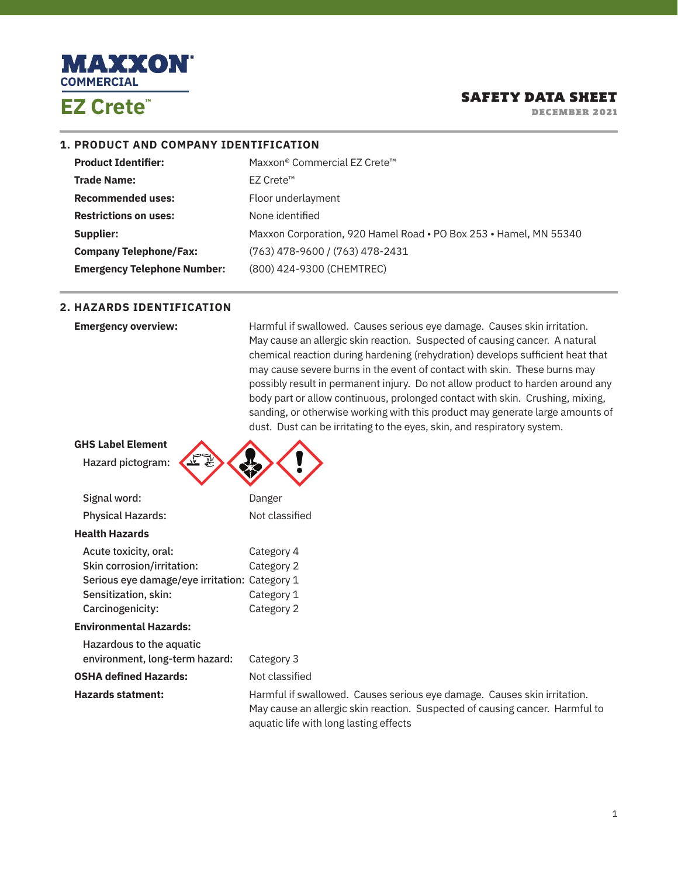

DECEMBER 2021

#### **1. PRODUCT AND COMPANY IDENTIFICATION**

| Maxxon® Commercial EZ Crete™                                      |
|-------------------------------------------------------------------|
| EZ Crete <sup>™</sup>                                             |
| Floor underlayment                                                |
| None identified                                                   |
| Maxxon Corporation, 920 Hamel Road • PO Box 253 • Hamel, MN 55340 |
| $(763)$ 478-9600 / (763) 478-2431                                 |
| (800) 424-9300 (CHEMTREC)                                         |
|                                                                   |

#### **2. HAZARDS IDENTIFICATION**

**Emergency overview: Harmful if swallowed. Causes serious eye damage. Causes skin irritation.** May cause an allergic skin reaction. Suspected of causing cancer. A natural chemical reaction during hardening (rehydration) develops sufficient heat that may cause severe burns in the event of contact with skin. These burns may possibly result in permanent injury. Do not allow product to harden around any body part or allow continuous, prolonged contact with skin. Crushing, mixing, sanding, or otherwise working with this product may generate large amounts of dust. Dust can be irritating to the eyes, skin, and respiratory system.

| <b>GHS Label Element</b>                      |                    |
|-----------------------------------------------|--------------------|
| ٧W<br>Hazard pictogram:                       |                    |
|                                               |                    |
| Signal word:                                  | Danger             |
| <b>Physical Hazards:</b>                      | Not classified     |
| <b>Health Hazards</b>                         |                    |
| Acute toxicity, oral:                         | Category 4         |
| Skin corrosion/irritation:                    | Category 2         |
| Serious eye damage/eye irritation: Category 1 |                    |
| Sensitization, skin:                          | Category 1         |
| Carcinogenicity:                              | Category 2         |
| <b>Environmental Hazards:</b>                 |                    |
| Hazardous to the aquatic                      |                    |
| environment, long-term hazard:                | Category 3         |
| <b>OSHA defined Hazards:</b>                  | Not classified     |
| <b>Hazards statment:</b>                      | Harmful if swallow |
|                                               | May cause an aller |

red. Causes serious eye damage. Causes skin irritation. rgic skin reaction. Suspected of causing cancer. Harmful to aquatic life with long lasting effects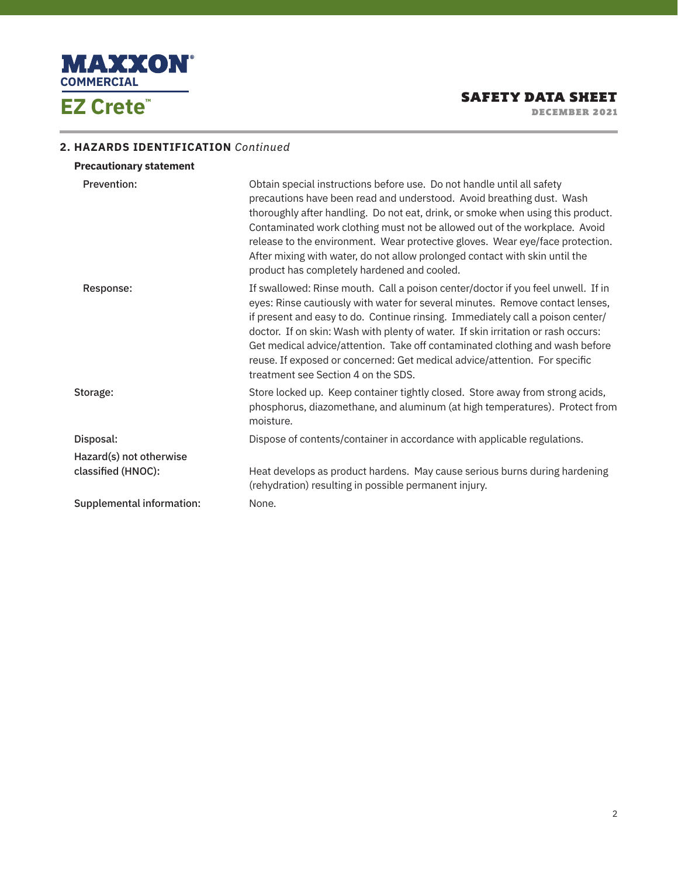

DECEMBER 2021

# **2. HAZARDS IDENTIFICATION** *Continued*

| <b>Precautionary statement</b> |                                                                                                                                                                                                                                                                                                                                                                                                                                                                                                                                               |
|--------------------------------|-----------------------------------------------------------------------------------------------------------------------------------------------------------------------------------------------------------------------------------------------------------------------------------------------------------------------------------------------------------------------------------------------------------------------------------------------------------------------------------------------------------------------------------------------|
| Prevention:                    | Obtain special instructions before use. Do not handle until all safety<br>precautions have been read and understood. Avoid breathing dust. Wash<br>thoroughly after handling. Do not eat, drink, or smoke when using this product.<br>Contaminated work clothing must not be allowed out of the workplace. Avoid<br>release to the environment. Wear protective gloves. Wear eye/face protection.<br>After mixing with water, do not allow prolonged contact with skin until the<br>product has completely hardened and cooled.               |
| Response:                      | If swallowed: Rinse mouth. Call a poison center/doctor if you feel unwell. If in<br>eyes: Rinse cautiously with water for several minutes. Remove contact lenses,<br>if present and easy to do. Continue rinsing. Immediately call a poison center/<br>doctor. If on skin: Wash with plenty of water. If skin irritation or rash occurs:<br>Get medical advice/attention. Take off contaminated clothing and wash before<br>reuse. If exposed or concerned: Get medical advice/attention. For specific<br>treatment see Section 4 on the SDS. |
| Storage:                       | Store locked up. Keep container tightly closed. Store away from strong acids,<br>phosphorus, diazomethane, and aluminum (at high temperatures). Protect from<br>moisture.                                                                                                                                                                                                                                                                                                                                                                     |
| Disposal:                      | Dispose of contents/container in accordance with applicable regulations.                                                                                                                                                                                                                                                                                                                                                                                                                                                                      |
| Hazard(s) not otherwise        |                                                                                                                                                                                                                                                                                                                                                                                                                                                                                                                                               |
| classified (HNOC):             | Heat develops as product hardens. May cause serious burns during hardening<br>(rehydration) resulting in possible permanent injury.                                                                                                                                                                                                                                                                                                                                                                                                           |
| Supplemental information:      | None.                                                                                                                                                                                                                                                                                                                                                                                                                                                                                                                                         |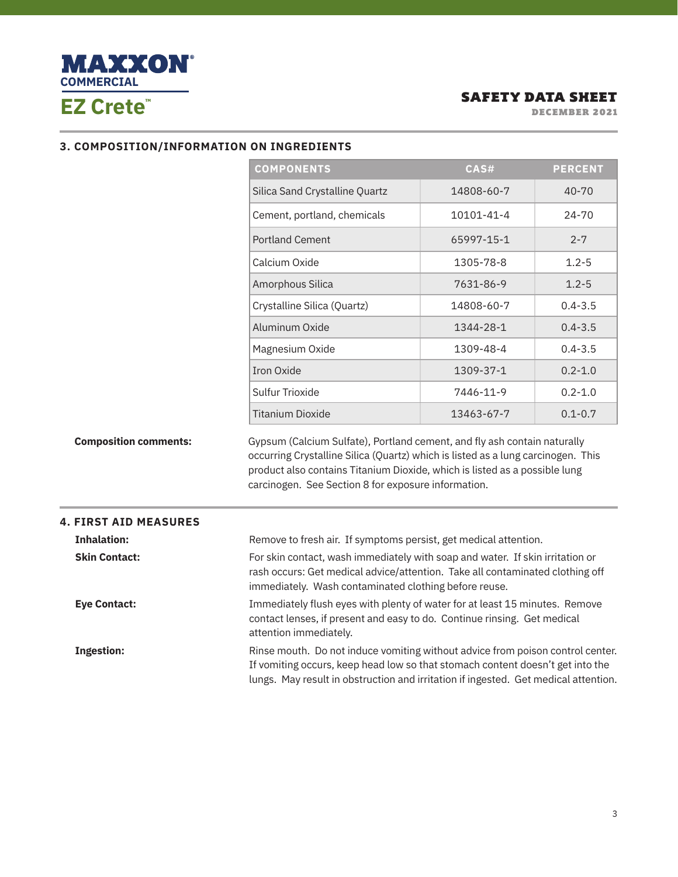

DECEMBER 2021

#### **3. COMPOSITION/INFORMATION ON INGREDIENTS**

|                              | <b>COMPONENTS</b>                                                                                                                                                                                                                                                                                 | CAS#       | <b>PERCENT</b> |
|------------------------------|---------------------------------------------------------------------------------------------------------------------------------------------------------------------------------------------------------------------------------------------------------------------------------------------------|------------|----------------|
|                              | Silica Sand Crystalline Quartz                                                                                                                                                                                                                                                                    | 14808-60-7 | 40-70          |
|                              | Cement, portland, chemicals                                                                                                                                                                                                                                                                       | 10101-41-4 | 24-70          |
|                              | <b>Portland Cement</b>                                                                                                                                                                                                                                                                            | 65997-15-1 | $2 - 7$        |
|                              | Calcium Oxide                                                                                                                                                                                                                                                                                     | 1305-78-8  | $1.2 - 5$      |
|                              | Amorphous Silica                                                                                                                                                                                                                                                                                  | 7631-86-9  | $1.2 - 5$      |
|                              | Crystalline Silica (Quartz)                                                                                                                                                                                                                                                                       | 14808-60-7 | $0.4 - 3.5$    |
|                              | Aluminum Oxide                                                                                                                                                                                                                                                                                    | 1344-28-1  | $0.4 - 3.5$    |
|                              | Magnesium Oxide                                                                                                                                                                                                                                                                                   | 1309-48-4  | $0.4 - 3.5$    |
|                              | <b>Iron Oxide</b>                                                                                                                                                                                                                                                                                 | 1309-37-1  | $0.2 - 1.0$    |
|                              | Sulfur Trioxide                                                                                                                                                                                                                                                                                   | 7446-11-9  | $0.2 - 1.0$    |
|                              | <b>Titanium Dioxide</b>                                                                                                                                                                                                                                                                           | 13463-67-7 | $0.1 - 0.7$    |
| <b>Composition comments:</b> | Gypsum (Calcium Sulfate), Portland cement, and fly ash contain naturally<br>occurring Crystalline Silica (Quartz) which is listed as a lung carcinogen. This<br>product also contains Titanium Dioxide, which is listed as a possible lung<br>carcinogen. See Section 8 for exposure information. |            |                |
| <b>4. FIRST AID MEASURES</b> |                                                                                                                                                                                                                                                                                                   |            |                |
| <b>Inhalation:</b>           | Remove to fresh air. If symptoms persist, get medical attention.                                                                                                                                                                                                                                  |            |                |
| <b>Skin Contact:</b>         | For skin contact, wash immediately with soap and water. If skin irritation or                                                                                                                                                                                                                     |            |                |

rash occurs: Get medical advice/attention. Take all contaminated clothing off immediately. Wash contaminated clothing before reuse. **Eye Contact:** Immediately flush eyes with plenty of water for at least 15 minutes. Remove

attention immediately.

**Ingestion: Rinse mouth.** Do not induce vomiting without advice from poison control center. If vomiting occurs, keep head low so that stomach content doesn't get into the lungs. May result in obstruction and irritation if ingested. Get medical attention.

contact lenses, if present and easy to do. Continue rinsing. Get medical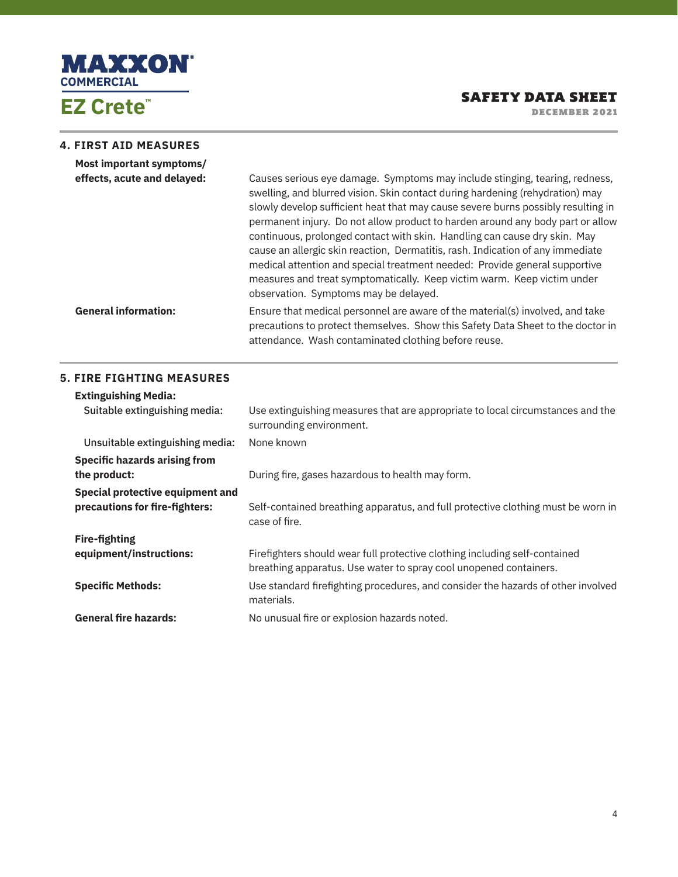

DECEMBER 2021

#### **4. FIRST AID MEASURES**

| Most important symptoms/<br>effects, acute and delayed: | Causes serious eye damage. Symptoms may include stinging, tearing, redness,<br>swelling, and blurred vision. Skin contact during hardening (rehydration) may<br>slowly develop sufficient heat that may cause severe burns possibly resulting in<br>permanent injury. Do not allow product to harden around any body part or allow<br>continuous, prolonged contact with skin. Handling can cause dry skin. May<br>cause an allergic skin reaction, Dermatitis, rash. Indication of any immediate<br>medical attention and special treatment needed: Provide general supportive<br>measures and treat symptomatically. Keep victim warm. Keep victim under<br>observation. Symptoms may be delayed. |
|---------------------------------------------------------|-----------------------------------------------------------------------------------------------------------------------------------------------------------------------------------------------------------------------------------------------------------------------------------------------------------------------------------------------------------------------------------------------------------------------------------------------------------------------------------------------------------------------------------------------------------------------------------------------------------------------------------------------------------------------------------------------------|
| <b>General information:</b>                             | Ensure that medical personnel are aware of the material(s) involved, and take<br>precautions to protect themselves. Show this Safety Data Sheet to the doctor in<br>attendance. Wash contaminated clothing before reuse.                                                                                                                                                                                                                                                                                                                                                                                                                                                                            |

#### **5. FIRE FIGHTING MEASURES**

| <b>Extinguishing Media:</b>                                        |                                                                                                                                                 |
|--------------------------------------------------------------------|-------------------------------------------------------------------------------------------------------------------------------------------------|
| Suitable extinguishing media:                                      | Use extinguishing measures that are appropriate to local circumstances and the<br>surrounding environment.                                      |
| Unsuitable extinguishing media:                                    | None known                                                                                                                                      |
| <b>Specific hazards arising from</b><br>the product:               | During fire, gases hazardous to health may form.                                                                                                |
| Special protective equipment and<br>precautions for fire-fighters: | Self-contained breathing apparatus, and full protective clothing must be worn in<br>case of fire.                                               |
| <b>Fire-fighting</b>                                               |                                                                                                                                                 |
| equipment/instructions:                                            | Firefighters should wear full protective clothing including self-contained<br>breathing apparatus. Use water to spray cool unopened containers. |
| <b>Specific Methods:</b>                                           | Use standard firefighting procedures, and consider the hazards of other involved<br>materials.                                                  |
| <b>General fire hazards:</b>                                       | No unusual fire or explosion hazards noted.                                                                                                     |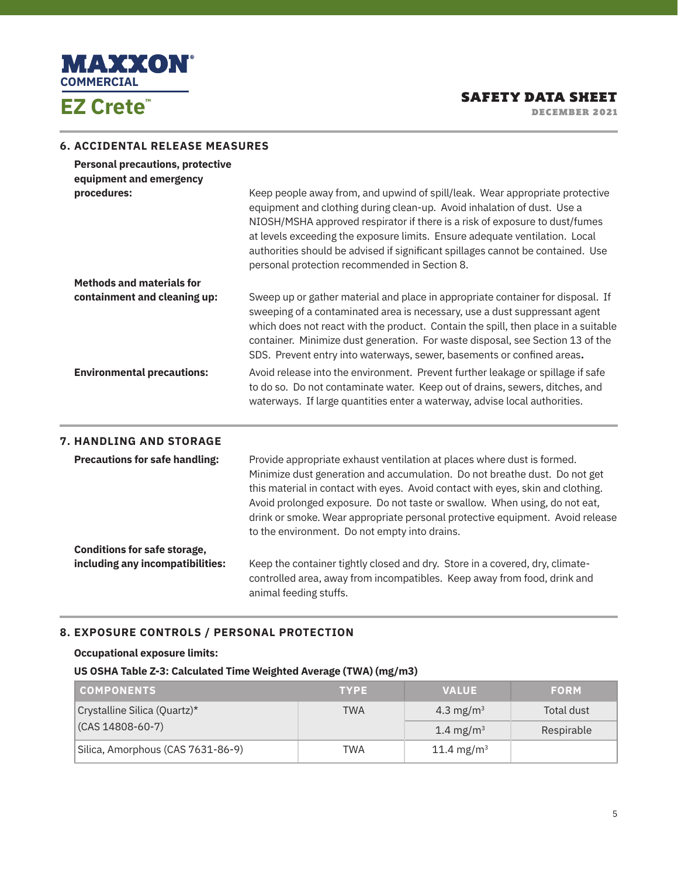

DECEMBER 2021

# **6. ACCIDENTAL RELEASE MEASURES**

| <b>Personal precautions, protective</b> |                                                                                                                                                                                                                                                                                                                                                                                                                                                           |
|-----------------------------------------|-----------------------------------------------------------------------------------------------------------------------------------------------------------------------------------------------------------------------------------------------------------------------------------------------------------------------------------------------------------------------------------------------------------------------------------------------------------|
| equipment and emergency                 |                                                                                                                                                                                                                                                                                                                                                                                                                                                           |
| procedures:                             | Keep people away from, and upwind of spill/leak. Wear appropriate protective<br>equipment and clothing during clean-up. Avoid inhalation of dust. Use a<br>NIOSH/MSHA approved respirator if there is a risk of exposure to dust/fumes<br>at levels exceeding the exposure limits. Ensure adequate ventilation. Local<br>authorities should be advised if significant spillages cannot be contained. Use<br>personal protection recommended in Section 8. |
| <b>Methods and materials for</b>        |                                                                                                                                                                                                                                                                                                                                                                                                                                                           |
| containment and cleaning up:            | Sweep up or gather material and place in appropriate container for disposal. If<br>sweeping of a contaminated area is necessary, use a dust suppressant agent<br>which does not react with the product. Contain the spill, then place in a suitable<br>container. Minimize dust generation. For waste disposal, see Section 13 of the<br>SDS. Prevent entry into waterways, sewer, basements or confined areas.                                           |
| <b>Environmental precautions:</b>       | Avoid release into the environment. Prevent further leakage or spillage if safe<br>to do so. Do not contaminate water. Keep out of drains, sewers, ditches, and<br>waterways. If large quantities enter a waterway, advise local authorities.                                                                                                                                                                                                             |
| <b>7. HANDLING AND STORAGE</b>          |                                                                                                                                                                                                                                                                                                                                                                                                                                                           |
| <b>Precautions for safe handling:</b>   | Provide appropriate exhaust ventilation at places where dust is formed.<br>Minimize dust generation and accumulation. Do not breathe dust. Do not get<br>this material in contact with eyes. Avoid contact with eyes, skin and clothing.<br>Avoid prolonged exposure. Do not taste or swallow. When using, do not eat,<br>drink or smoke. Wear appropriate personal protective equipment. Avoid release<br>to the environment. Do not empty into drains.  |
| <b>Conditions for safe storage,</b>     |                                                                                                                                                                                                                                                                                                                                                                                                                                                           |
| including any incompatibilities:        | Keep the container tightly closed and dry. Store in a covered, dry, climate-<br>controlled area, away from incompatibles. Keep away from food, drink and<br>animal feeding stuffs.                                                                                                                                                                                                                                                                        |

# **8. EXPOSURE CONTROLS / PERSONAL PROTECTION**

#### **Occupational exposure limits:**

#### **US OSHA Table Z-3: Calculated Time Weighted Average (TWA) (mg/m3)**

| <b>COMPONENTS</b>                 | <b>TYPE</b> | <b>VALUE</b>           | <b>FORM</b> |
|-----------------------------------|-------------|------------------------|-------------|
| Crystalline Silica (Quartz)*      | TWA         | 4.3 mg/m <sup>3</sup>  | Total dust  |
| (CAS 14808-60-7)                  |             | 1.4 mg/m <sup>3</sup>  | Respirable  |
| Silica, Amorphous (CAS 7631-86-9) | TWA         | 11.4 mg/m <sup>3</sup> |             |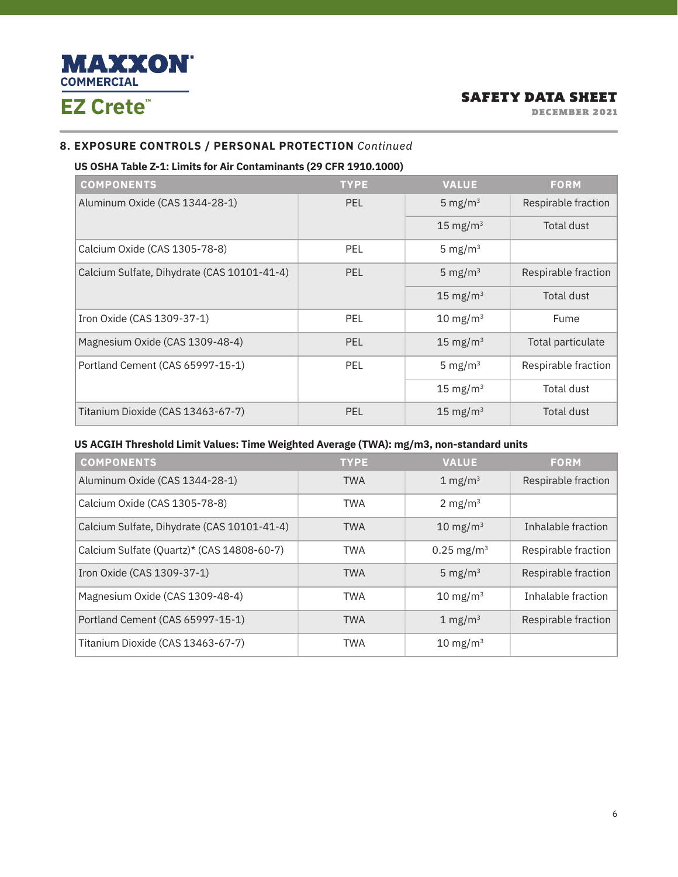

DECEMBER 2021

# **8. EXPOSURE CONTROLS / PERSONAL PROTECTION** *Continued*

#### **US OSHA Table Z-1: Limits for Air Contaminants (29 CFR 1910.1000)**

| <b>COMPONENTS</b>                           | <b>TYPE</b> | <b>VALUE</b>        | <b>FORM</b>         |
|---------------------------------------------|-------------|---------------------|---------------------|
| Aluminum Oxide (CAS 1344-28-1)              | <b>PEL</b>  | 5 mg/m $3$          | Respirable fraction |
|                                             |             | $15 \text{ mg/m}^3$ | <b>Total dust</b>   |
| Calcium Oxide (CAS 1305-78-8)               | <b>PEL</b>  | 5 mg/ $m3$          |                     |
| Calcium Sulfate, Dihydrate (CAS 10101-41-4) | PEL         | 5 mg/ $m3$          | Respirable fraction |
|                                             |             | $15 \text{ mg/m}^3$ | Total dust          |
| Iron Oxide (CAS 1309-37-1)                  | <b>PEL</b>  | $10 \text{ mg/m}^3$ | Fume                |
| Magnesium Oxide (CAS 1309-48-4)             | <b>PEL</b>  | $15 \text{ mg/m}^3$ | Total particulate   |
| Portland Cement (CAS 65997-15-1)            | <b>PEL</b>  | 5 mg/ $m3$          | Respirable fraction |
|                                             |             | 15 mg/m $3$         | Total dust          |
| Titanium Dioxide (CAS 13463-67-7)           | <b>PEL</b>  | $15 \text{ mg/m}^3$ | Total dust          |

#### **US ACGIH Threshold Limit Values: Time Weighted Average (TWA): mg/m3, non-standard units**

| <b>COMPONENTS</b>                           | <b>TYPE</b> | <b>VALUE</b>           | <b>FORM</b>         |
|---------------------------------------------|-------------|------------------------|---------------------|
| Aluminum Oxide (CAS 1344-28-1)              | <b>TWA</b>  | $1 \text{ mg/m}^3$     | Respirable fraction |
| Calcium Oxide (CAS 1305-78-8)               | <b>TWA</b>  | 2 mg/m <sup>3</sup>    |                     |
| Calcium Sulfate, Dihydrate (CAS 10101-41-4) | <b>TWA</b>  | $10 \text{ mg/m}^3$    | Inhalable fraction  |
| Calcium Sulfate (Quartz)* (CAS 14808-60-7)  | <b>TWA</b>  | 0.25 mg/m <sup>3</sup> | Respirable fraction |
| Iron Oxide (CAS 1309-37-1)                  | <b>TWA</b>  | 5 mg/ $m3$             | Respirable fraction |
| Magnesium Oxide (CAS 1309-48-4)             | <b>TWA</b>  | $10 \text{ mg/m}^3$    | Inhalable fraction  |
| Portland Cement (CAS 65997-15-1)            | <b>TWA</b>  | $1 \text{ mg/m}^3$     | Respirable fraction |
| Titanium Dioxide (CAS 13463-67-7)           | <b>TWA</b>  | $10 \text{ mg/m}^3$    |                     |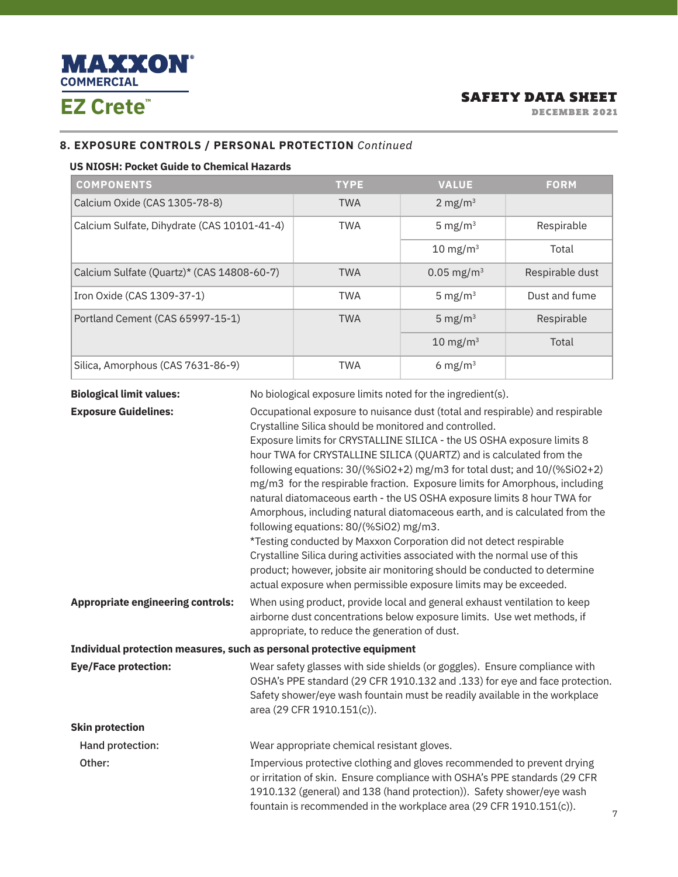

DECEMBER 2021

# **8. EXPOSURE CONTROLS / PERSONAL PROTECTION** *Continued*

#### **US NIOSH: Pocket Guide to Chemical Hazards**

| <b>COMPONENTS</b>                           | <b>TYPE</b> | <b>VALUE</b>             | <b>FORM</b>     |
|---------------------------------------------|-------------|--------------------------|-----------------|
| Calcium Oxide (CAS 1305-78-8)               | <b>TWA</b>  | 2 mg/m $3$               |                 |
| Calcium Sulfate, Dihydrate (CAS 10101-41-4) | <b>TWA</b>  | 5 mg/ $m3$               | Respirable      |
|                                             |             | $10 \text{ mg/m}^3$      | Total           |
| Calcium Sulfate (Quartz)* (CAS 14808-60-7)  | <b>TWA</b>  | $0.05$ mg/m <sup>3</sup> | Respirable dust |
| Iron Oxide (CAS 1309-37-1)                  | <b>TWA</b>  | 5 mg/m <sup>3</sup>      | Dust and fume   |
| Portland Cement (CAS 65997-15-1)            | <b>TWA</b>  | 5 mg/ $m3$               | Respirable      |
|                                             |             | $10 \text{ mg/m}^3$      | Total           |
| Silica, Amorphous (CAS 7631-86-9)           | <b>TWA</b>  | 6 mg/m <sup>3</sup>      |                 |

**Biological limit values:** No biological exposure limits noted for the ingredient(s).

**Exposure Guidelines: C**CCUPAtional exposure to nuisance dust (total and respirable) and respirable Crystalline Silica should be monitored and controlled. Exposure limits for CRYSTALLINE SILICA - the US OSHA exposure limits 8 hour TWA for CRYSTALLINE SILICA (QUARTZ) and is calculated from the following equations: 30/(%SiO2+2) mg/m3 for total dust; and 10/(%SiO2+2) mg/m3 for the respirable fraction. Exposure limits for Amorphous, including natural diatomaceous earth - the US OSHA exposure limits 8 hour TWA for Amorphous, including natural diatomaceous earth, and is calculated from the following equations: 80/(%SiO2) mg/m3. \*Testing conducted by Maxxon Corporation did not detect respirable Crystalline Silica during activities associated with the normal use of this product; however, jobsite air monitoring should be conducted to determine actual exposure when permissible exposure limits may be exceeded. **Appropriate engineering controls:** When using product, provide local and general exhaust ventilation to keep airborne dust concentrations below exposure limits. Use wet methods, if appropriate, to reduce the generation of dust. **Individual protection measures, such as personal protective equipment Eye/Face protection:** Wear safety glasses with side shields (or goggles). Ensure compliance with OSHA's PPE standard (29 CFR 1910.132 and .133) for eye and face protection. Safety shower/eye wash fountain must be readily available in the workplace area (29 CFR 1910.151(c)). **Skin protection** Hand protection:Wear appropriate chemical resistant gloves. Other: Impervious protective clothing and gloves recommended to prevent drying or irritation of skin. Ensure compliance with OSHA's PPE standards (29 CFR 1910.132 (general) and 138 (hand protection)). Safety shower/eye wash fountain is recommended in the workplace area (29 CFR 1910.151(c)).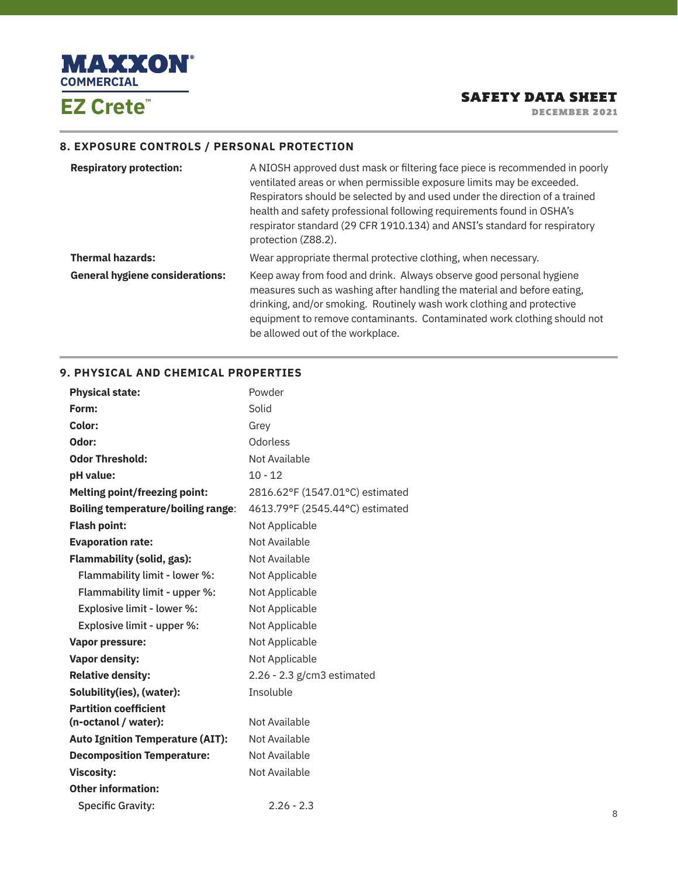

DECEMBER 2021

# **8. EXPOSURE CONTROLS / PERSONAL PROTECTION**

| <b>Respiratory protection:</b>         | A NIOSH approved dust mask or filtering face piece is recommended in poorly<br>ventilated areas or when permissible exposure limits may be exceeded.<br>Respirators should be selected by and used under the direction of a trained<br>health and safety professional following requirements found in OSHA's<br>respirator standard (29 CFR 1910.134) and ANSI's standard for respiratory<br>protection (Z88.2). |
|----------------------------------------|------------------------------------------------------------------------------------------------------------------------------------------------------------------------------------------------------------------------------------------------------------------------------------------------------------------------------------------------------------------------------------------------------------------|
| <b>Thermal hazards:</b>                | Wear appropriate thermal protective clothing, when necessary.                                                                                                                                                                                                                                                                                                                                                    |
| <b>General hygiene considerations:</b> | Keep away from food and drink. Always observe good personal hygiene<br>measures such as washing after handling the material and before eating,<br>drinking, and/or smoking. Routinely wash work clothing and protective<br>equipment to remove contaminants. Contaminated work clothing should not<br>be allowed out of the workplace.                                                                           |

# **9. PHYSICAL AND CHEMICAL PROPERTIES**

| <b>Physical state:</b>                    | Powder                          |
|-------------------------------------------|---------------------------------|
| Form:                                     | Solid                           |
| Color:                                    | Grey                            |
| Odor:                                     | Odorless                        |
| <b>Odor Threshold:</b>                    | Not Available                   |
| pH value:                                 | $10 - 12$                       |
| <b>Melting point/freezing point:</b>      | 2816.62°F (1547.01°C) estimated |
| <b>Boiling temperature/boiling range:</b> | 4613.79°F (2545.44°C) estimated |
| <b>Flash point:</b>                       | Not Applicable                  |
| <b>Evaporation rate:</b>                  | Not Available                   |
| <b>Flammability (solid, gas):</b>         | Not Available                   |
| Flammability limit - lower %:             | Not Applicable                  |
| Flammability limit - upper %:             | Not Applicable                  |
| Explosive limit - lower %:                | Not Applicable                  |
| Explosive limit - upper %:                | Not Applicable                  |
| <b>Vapor pressure:</b>                    | Not Applicable                  |
| <b>Vapor density:</b>                     | Not Applicable                  |
| <b>Relative density:</b>                  | $2.26 - 2.3$ g/cm3 estimated    |
| Solubility(ies), (water):                 | Insoluble                       |
| <b>Partition coefficient</b>              |                                 |
| (n-octanol / water):                      | Not Available                   |
| <b>Auto Ignition Temperature (AIT):</b>   | Not Available                   |
| <b>Decomposition Temperature:</b>         | Not Available                   |
| <b>Viscosity:</b>                         | Not Available                   |
| <b>Other information:</b>                 |                                 |
| <b>Specific Gravity:</b>                  | $2.26 - 2.3$                    |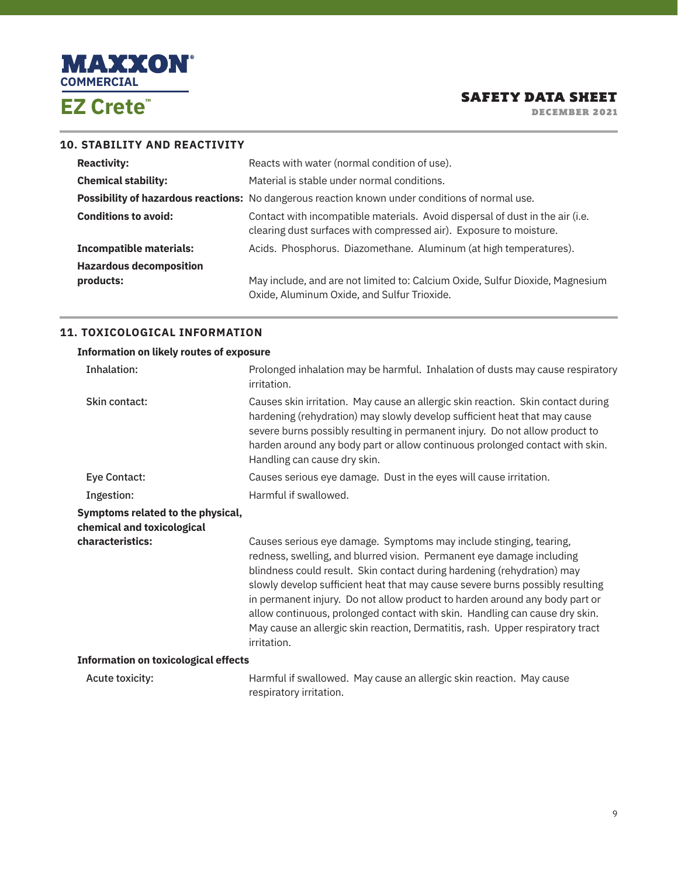

DECEMBER 2021

#### **10. STABILITY AND REACTIVITY**

| <b>Reactivity:</b>             | Reacts with water (normal condition of use).                                                                                                        |
|--------------------------------|-----------------------------------------------------------------------------------------------------------------------------------------------------|
| <b>Chemical stability:</b>     | Material is stable under normal conditions.                                                                                                         |
|                                | Possibility of hazardous reactions: No dangerous reaction known under conditions of normal use.                                                     |
| <b>Conditions to avoid:</b>    | Contact with incompatible materials. Avoid dispersal of dust in the air (i.e.<br>clearing dust surfaces with compressed air). Exposure to moisture. |
| <b>Incompatible materials:</b> | Acids. Phosphorus. Diazomethane. Aluminum (at high temperatures).                                                                                   |
| <b>Hazardous decomposition</b> |                                                                                                                                                     |
| products:                      | May include, and are not limited to: Calcium Oxide, Sulfur Dioxide, Magnesium                                                                       |
|                                | Oxide, Aluminum Oxide, and Sulfur Trioxide.                                                                                                         |

# **11. TOXICOLOGICAL INFORMATION**

| <b>Information on likely routes of exposure</b>                 |                                                                                                                                                                                                                                                                                                                                                                                                                                                                                                                                                                        |
|-----------------------------------------------------------------|------------------------------------------------------------------------------------------------------------------------------------------------------------------------------------------------------------------------------------------------------------------------------------------------------------------------------------------------------------------------------------------------------------------------------------------------------------------------------------------------------------------------------------------------------------------------|
| Inhalation:                                                     | Prolonged inhalation may be harmful. Inhalation of dusts may cause respiratory<br>irritation.                                                                                                                                                                                                                                                                                                                                                                                                                                                                          |
| Skin contact:                                                   | Causes skin irritation. May cause an allergic skin reaction. Skin contact during<br>hardening (rehydration) may slowly develop sufficient heat that may cause<br>severe burns possibly resulting in permanent injury. Do not allow product to<br>harden around any body part or allow continuous prolonged contact with skin.<br>Handling can cause dry skin.                                                                                                                                                                                                          |
| Eye Contact:                                                    | Causes serious eye damage. Dust in the eyes will cause irritation.                                                                                                                                                                                                                                                                                                                                                                                                                                                                                                     |
| Ingestion:                                                      | Harmful if swallowed.                                                                                                                                                                                                                                                                                                                                                                                                                                                                                                                                                  |
| Symptoms related to the physical,<br>chemical and toxicological |                                                                                                                                                                                                                                                                                                                                                                                                                                                                                                                                                                        |
| characteristics:                                                | Causes serious eye damage. Symptoms may include stinging, tearing,<br>redness, swelling, and blurred vision. Permanent eye damage including<br>blindness could result. Skin contact during hardening (rehydration) may<br>slowly develop sufficient heat that may cause severe burns possibly resulting<br>in permanent injury. Do not allow product to harden around any body part or<br>allow continuous, prolonged contact with skin. Handling can cause dry skin.<br>May cause an allergic skin reaction, Dermatitis, rash. Upper respiratory tract<br>irritation. |
| <b>Information on toxicological effects</b>                     |                                                                                                                                                                                                                                                                                                                                                                                                                                                                                                                                                                        |
| Acute toxicity:                                                 | Harmful if swallowed. May cause an allergic skin reaction. May cause<br>respiratory irritation.                                                                                                                                                                                                                                                                                                                                                                                                                                                                        |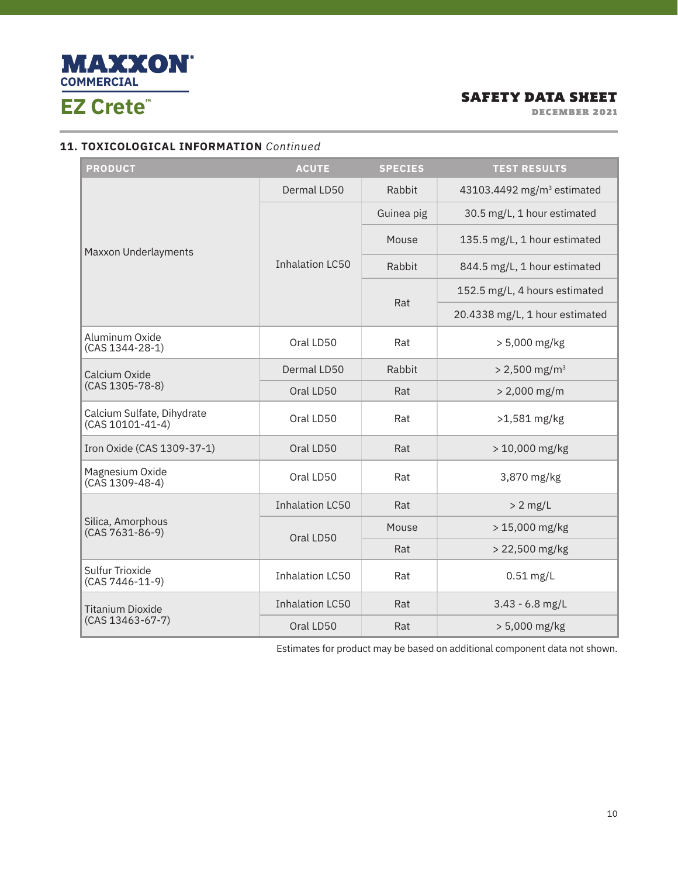

DECEMBER 2021

# **11. TOXICOLOGICAL INFORMATION** *Continued*

| <b>PRODUCT</b>                                 | <b>ACUTE</b>           | <b>SPECIES</b> | <b>TEST RESULTS</b>                    |
|------------------------------------------------|------------------------|----------------|----------------------------------------|
| Maxxon Underlayments                           | Dermal LD50            | Rabbit         | 43103.4492 mg/m <sup>3</sup> estimated |
|                                                | <b>Inhalation LC50</b> | Guinea pig     | 30.5 mg/L, 1 hour estimated            |
|                                                |                        | Mouse          | 135.5 mg/L, 1 hour estimated           |
|                                                |                        | Rabbit         | 844.5 mg/L, 1 hour estimated           |
|                                                |                        |                | 152.5 mg/L, 4 hours estimated          |
|                                                |                        | Rat            | 20.4338 mg/L, 1 hour estimated         |
| Aluminum Oxide<br>(CAS 1344-28-1)              | Oral LD50              | Rat            | $> 5,000$ mg/kg                        |
| Calcium Oxide<br>(CAS 1305-78-8)               | Dermal LD50            | Rabbit         | $> 2,500$ mg/m <sup>3</sup>            |
|                                                | Oral LD50              | Rat            | $> 2,000$ mg/m                         |
| Calcium Sulfate, Dihydrate<br>(CAS 10101-41-4) | Oral LD50              | Rat            | $>1,581$ mg/kg                         |
| Iron Oxide (CAS 1309-37-1)                     | Oral LD50              | Rat            | > 10,000 mg/kg                         |
| Magnesium Oxide<br>$(CAS 1309-48-4)$           | Oral LD50              | Rat            | 3,870 mg/kg                            |
|                                                | <b>Inhalation LC50</b> | Rat            | $> 2$ mg/L                             |
| Silica, Amorphous<br>$(CAS 7631-86-9)$         | Oral LD50              | Mouse          | > 15,000 mg/kg                         |
|                                                |                        | Rat            | > 22,500 mg/kg                         |
| Sulfur Trioxide<br>(CAS 7446-11-9)             | <b>Inhalation LC50</b> | Rat            | $0.51$ mg/L                            |
| <b>Titanium Dioxide</b>                        | <b>Inhalation LC50</b> | Rat            | $3.43 - 6.8$ mg/L                      |
| $(CAS 13463 - 67 - 7)$                         | Oral LD50              | Rat            | $> 5,000$ mg/kg                        |

Estimates for product may be based on additional component data not shown.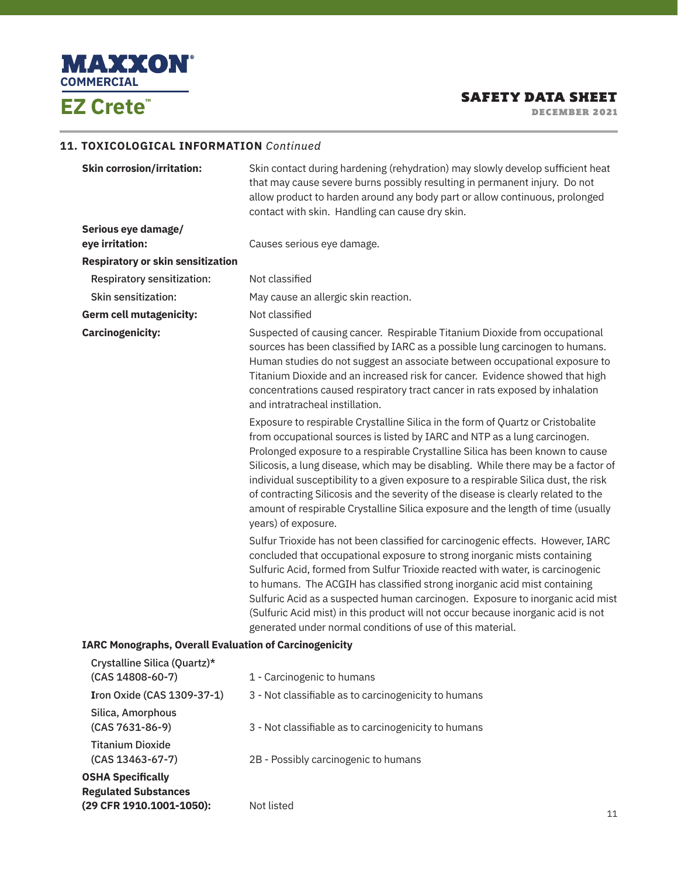

DECEMBER 2021

11

# **11. TOXICOLOGICAL INFORMATION** *Continued*

| <b>Skin corrosion/irritation:</b>                                                   | Skin contact during hardening (rehydration) may slowly develop sufficient heat<br>that may cause severe burns possibly resulting in permanent injury. Do not<br>allow product to harden around any body part or allow continuous, prolonged<br>contact with skin. Handling can cause dry skin.                                                                                                                                                                                                                                                                                                                             |
|-------------------------------------------------------------------------------------|----------------------------------------------------------------------------------------------------------------------------------------------------------------------------------------------------------------------------------------------------------------------------------------------------------------------------------------------------------------------------------------------------------------------------------------------------------------------------------------------------------------------------------------------------------------------------------------------------------------------------|
| Serious eye damage/                                                                 |                                                                                                                                                                                                                                                                                                                                                                                                                                                                                                                                                                                                                            |
| eye irritation:                                                                     | Causes serious eye damage.                                                                                                                                                                                                                                                                                                                                                                                                                                                                                                                                                                                                 |
| <b>Respiratory or skin sensitization</b>                                            |                                                                                                                                                                                                                                                                                                                                                                                                                                                                                                                                                                                                                            |
| <b>Respiratory sensitization:</b>                                                   | Not classified                                                                                                                                                                                                                                                                                                                                                                                                                                                                                                                                                                                                             |
| <b>Skin sensitization:</b>                                                          | May cause an allergic skin reaction.                                                                                                                                                                                                                                                                                                                                                                                                                                                                                                                                                                                       |
| Germ cell mutagenicity:                                                             | Not classified                                                                                                                                                                                                                                                                                                                                                                                                                                                                                                                                                                                                             |
| <b>Carcinogenicity:</b>                                                             | Suspected of causing cancer. Respirable Titanium Dioxide from occupational<br>sources has been classified by IARC as a possible lung carcinogen to humans.<br>Human studies do not suggest an associate between occupational exposure to<br>Titanium Dioxide and an increased risk for cancer. Evidence showed that high<br>concentrations caused respiratory tract cancer in rats exposed by inhalation<br>and intratracheal instillation.                                                                                                                                                                                |
|                                                                                     | Exposure to respirable Crystalline Silica in the form of Quartz or Cristobalite<br>from occupational sources is listed by IARC and NTP as a lung carcinogen.<br>Prolonged exposure to a respirable Crystalline Silica has been known to cause<br>Silicosis, a lung disease, which may be disabling. While there may be a factor of<br>individual susceptibility to a given exposure to a respirable Silica dust, the risk<br>of contracting Silicosis and the severity of the disease is clearly related to the<br>amount of respirable Crystalline Silica exposure and the length of time (usually<br>years) of exposure. |
|                                                                                     | Sulfur Trioxide has not been classified for carcinogenic effects. However, IARC<br>concluded that occupational exposure to strong inorganic mists containing<br>Sulfuric Acid, formed from Sulfur Trioxide reacted with water, is carcinogenic<br>to humans. The ACGIH has classified strong inorganic acid mist containing<br>Sulfuric Acid as a suspected human carcinogen. Exposure to inorganic acid mist<br>(Sulfuric Acid mist) in this product will not occur because inorganic acid is not<br>generated under normal conditions of use of this material.                                                           |
| <b>IARC Monographs, Overall Evaluation of Carcinogenicity</b>                       |                                                                                                                                                                                                                                                                                                                                                                                                                                                                                                                                                                                                                            |
| Crystalline Silica (Quartz)*<br>(CAS 14808-60-7)                                    | 1 - Carcinogenic to humans                                                                                                                                                                                                                                                                                                                                                                                                                                                                                                                                                                                                 |
| Iron Oxide (CAS 1309-37-1)                                                          | 3 - Not classifiable as to carcinogenicity to humans                                                                                                                                                                                                                                                                                                                                                                                                                                                                                                                                                                       |
| Silica, Amorphous<br>$(CAS 7631-86-9)$                                              | 3 - Not classifiable as to carcinogenicity to humans                                                                                                                                                                                                                                                                                                                                                                                                                                                                                                                                                                       |
| <b>Titanium Dioxide</b><br>(CAS 13463-67-7)                                         | 2B - Possibly carcinogenic to humans                                                                                                                                                                                                                                                                                                                                                                                                                                                                                                                                                                                       |
| <b>OSHA Specifically</b><br><b>Regulated Substances</b><br>(29 CFR 1910.1001-1050): | Not listed                                                                                                                                                                                                                                                                                                                                                                                                                                                                                                                                                                                                                 |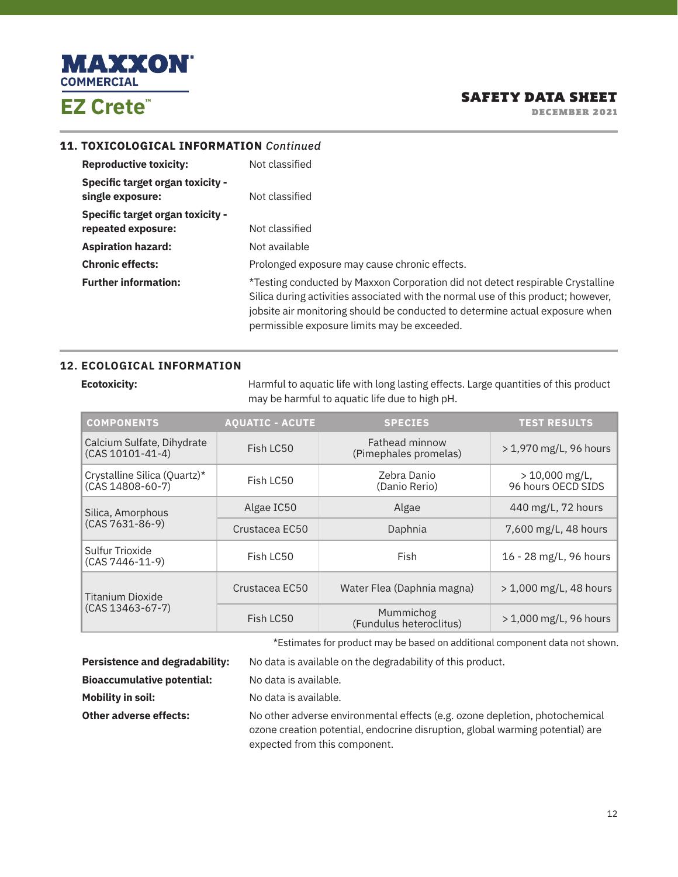

DECEMBER 2021

#### **11. TOXICOLOGICAL INFORMATION** *Continued*

| <b>Reproductive toxicity:</b>                                 | Not classified                                                                                                                                                                                                                                                                                      |
|---------------------------------------------------------------|-----------------------------------------------------------------------------------------------------------------------------------------------------------------------------------------------------------------------------------------------------------------------------------------------------|
| <b>Specific target organ toxicity -</b><br>single exposure:   | Not classified                                                                                                                                                                                                                                                                                      |
| <b>Specific target organ toxicity -</b><br>repeated exposure: | Not classified                                                                                                                                                                                                                                                                                      |
| <b>Aspiration hazard:</b>                                     | Not available                                                                                                                                                                                                                                                                                       |
| <b>Chronic effects:</b>                                       | Prolonged exposure may cause chronic effects.                                                                                                                                                                                                                                                       |
| <b>Further information:</b>                                   | *Testing conducted by Maxxon Corporation did not detect respirable Crystalline<br>Silica during activities associated with the normal use of this product; however,<br>jobsite air monitoring should be conducted to determine actual exposure when<br>permissible exposure limits may be exceeded. |

# **12. ECOLOGICAL INFORMATION**

**Ecotoxicity:** Harmful to aquatic life with long lasting effects. Large quantities of this product may be harmful to aquatic life due to high pH.

| <b>COMPONENTS</b>                                    | <b>AOUATIC - ACUTE</b> | <b>SPECIES</b>                          | <b>TEST RESULTS</b>                    |
|------------------------------------------------------|------------------------|-----------------------------------------|----------------------------------------|
| Calcium Sulfate, Dihydrate<br>$(CAS 10101 - 41 - 4)$ | Fish LC50              | Fathead minnow<br>(Pimephales promelas) | > 1,970 mg/L, 96 hours                 |
| Crystalline Silica (Quartz)*<br>$(CAS 14808-60-7)$   | Fish LC50              | Zebra Danio<br>(Danio Rerio)            | $> 10,000$ mg/L,<br>96 hours OECD SIDS |
| Silica, Amorphous<br>$(CAS 7631-86-9)$               | Algae IC50             | Algae                                   | 440 mg/L, 72 hours                     |
|                                                      | Crustacea EC50         | Daphnia                                 | 7,600 mg/L, 48 hours                   |
| Sulfur Trioxide<br>$(CAS 7446 - 11 - 9)$             | Fish LC50              | Fish                                    | 16 - 28 mg/L, 96 hours                 |
| Titanium Dioxide                                     | Crustacea EC50         | Water Flea (Daphnia magna)              | > 1,000 mg/L, 48 hours                 |
| $(CAS 13463 - 67 - 7)$                               | Fish LC50              | Mummichog<br>(Fundulus heteroclitus)    | $> 1,000 \,\mathrm{mg/L}$ , 96 hours   |

\*Estimates for product may be based on additional component data not shown.

| <b>Persistence and degradability:</b> | No data is available on the degradability of this product.                                                                                                                                    |
|---------------------------------------|-----------------------------------------------------------------------------------------------------------------------------------------------------------------------------------------------|
| <b>Bioaccumulative potential:</b>     | No data is available.                                                                                                                                                                         |
| Mobility in soil:                     | No data is available.                                                                                                                                                                         |
| <b>Other adverse effects:</b>         | No other adverse environmental effects (e.g. ozone depletion, photochemical<br>ozone creation potential, endocrine disruption, global warming potential) are<br>expected from this component. |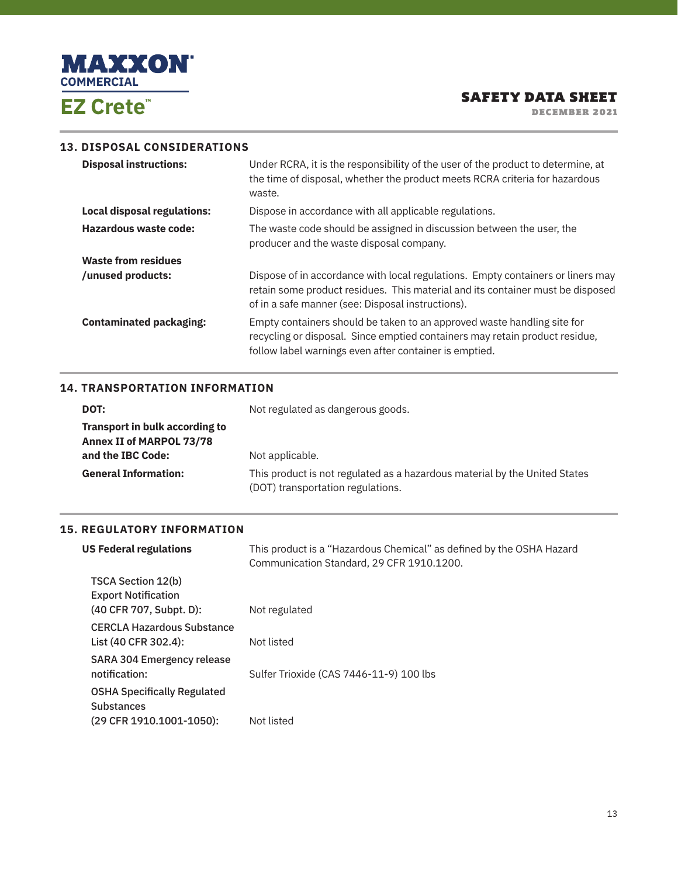

DECEMBER 2021

# **13. DISPOSAL CONSIDERATIONS**

| <b>Disposal instructions:</b>      | Under RCRA, it is the responsibility of the user of the product to determine, at<br>the time of disposal, whether the product meets RCRA criteria for hazardous<br>waste.                                              |
|------------------------------------|------------------------------------------------------------------------------------------------------------------------------------------------------------------------------------------------------------------------|
| <b>Local disposal regulations:</b> | Dispose in accordance with all applicable regulations.                                                                                                                                                                 |
| Hazardous waste code:              | The waste code should be assigned in discussion between the user, the<br>producer and the waste disposal company.                                                                                                      |
| <b>Waste from residues</b>         |                                                                                                                                                                                                                        |
| /unused products:                  | Dispose of in accordance with local regulations. Empty containers or liners may<br>retain some product residues. This material and its container must be disposed<br>of in a safe manner (see: Disposal instructions). |
| <b>Contaminated packaging:</b>     | Empty containers should be taken to an approved waste handling site for<br>recycling or disposal. Since emptied containers may retain product residue,<br>follow label warnings even after container is emptied.       |

#### **14. TRANSPORTATION INFORMATION**

| DOT:                                                                     | Not regulated as dangerous goods.                                                                               |
|--------------------------------------------------------------------------|-----------------------------------------------------------------------------------------------------------------|
| <b>Transport in bulk according to</b><br><b>Annex II of MARPOL 73/78</b> |                                                                                                                 |
| and the IBC Code:                                                        | Not applicable.                                                                                                 |
| <b>General Information:</b>                                              | This product is not regulated as a hazardous material by the United States<br>(DOT) transportation regulations. |

# **15. REGULATORY INFORMATION**

| <b>US Federal regulations</b>                                                       | This product is a "Hazardous Chemical" as defined by the OSHA Hazard<br>Communication Standard, 29 CFR 1910.1200. |
|-------------------------------------------------------------------------------------|-------------------------------------------------------------------------------------------------------------------|
| TSCA Section 12(b)<br><b>Export Notification</b><br>(40 CFR 707, Subpt. D):         | Not regulated                                                                                                     |
| <b>CERCLA Hazardous Substance</b><br>List (40 CFR 302.4):                           | Not listed                                                                                                        |
| SARA 304 Emergency release<br>notification:                                         | Sulfer Trioxide (CAS 7446-11-9) 100 lbs                                                                           |
| <b>OSHA Specifically Regulated</b><br><b>Substances</b><br>(29 CFR 1910.1001-1050): | Not listed                                                                                                        |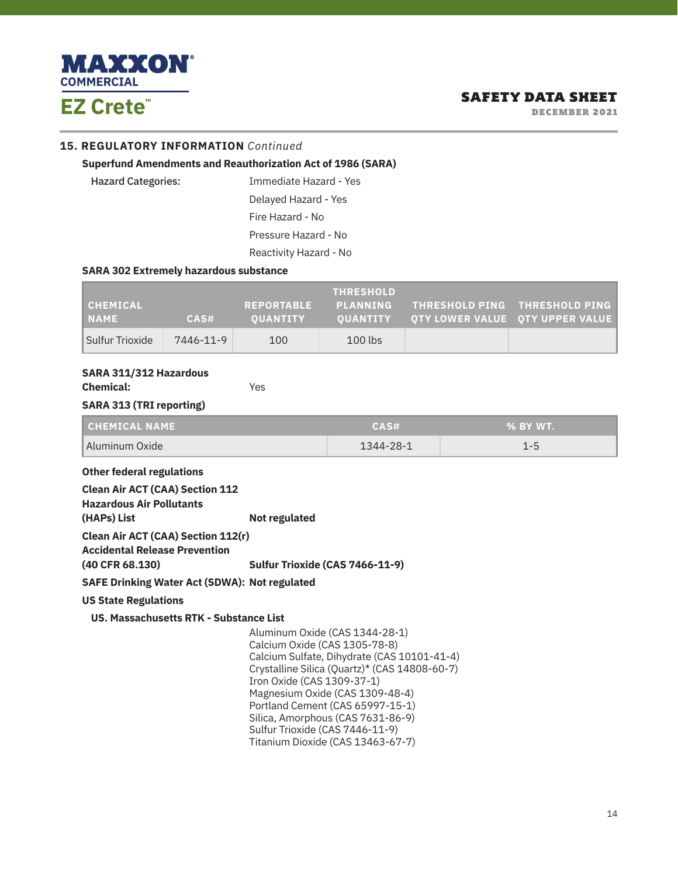

DECEMBER 2021

#### **15. REGULATORY INFORMATION** *Continued*

#### **Superfund Amendments and Reauthorization Act of 1986 (SARA)**

Hazard Categories: Immediate Hazard - Yes Delayed Hazard - Yes Fire Hazard - No Pressure Hazard - No Reactivity Hazard - No

#### **SARA 302 Extremely hazardous substance**

| CHEMICAL <br><b>NAME</b> | CAS#      | <b>REPORTABLE</b><br><b>OUANTITY</b> | <b>THRESHOLD</b><br><b>NPLANNING</b> | THRESHOLD PING THRESHOLD PING<br>OUANTITY OTY LOWER VALUE OTY UPPER VALUE |
|--------------------------|-----------|--------------------------------------|--------------------------------------|---------------------------------------------------------------------------|
| Sulfur Trioxide          | 7446-11-9 | 100                                  | $100$ lbs                            |                                                                           |

#### **SARA 311/312 Hazardous**

**Chemical:** Yes

#### **SARA 313 (TRI reporting)**

| CHEMICAL NAME   | CAS#      | $\sim$ % BY WT. |
|-----------------|-----------|-----------------|
| Aluminum Oxide_ | 1344-28-1 |                 |

#### **Other federal regulations**

| <b>Clean Air ACT (CAA) Section 112</b>                                     |                                               |
|----------------------------------------------------------------------------|-----------------------------------------------|
| <b>Hazardous Air Pollutants</b>                                            |                                               |
| (HAPs) List                                                                | Not regulated                                 |
| <b>Clean Air ACT (CAA) Section 112(r)</b><br>Accidental Release Prevention |                                               |
| (40 CFR 68.130)                                                            | Sulfur Trioxide (CAS 7466-11-9)               |
| <b>SAFE Drinking Water Act (SDWA): Not regulated</b>                       |                                               |
| <b>US State Regulations</b>                                                |                                               |
| US. Massachusetts RTK - Substance List                                     |                                               |
|                                                                            | Aluminum Oxide (CAS 1344-28-1)                |
|                                                                            | Calcium Oxide (CAS 1305-78-8)                 |
|                                                                            | Calcium Sulfate, Dihydrate (CAS 10101-41-4)   |
|                                                                            | Crystalline Silica (Quartz)* (CAS 14808-60-7) |
|                                                                            | Iron Oxide (CAS 1309-37-1)                    |
|                                                                            | Magnesium Oxide (CAS 1309-48-4)               |
|                                                                            |                                               |

 Portland Cement (CAS 65997-15-1) Silica, Amorphous (CAS 7631-86-9)

Sulfur Trioxide (CAS 7446-11-9)

Titanium Dioxide (CAS 13463-67-7)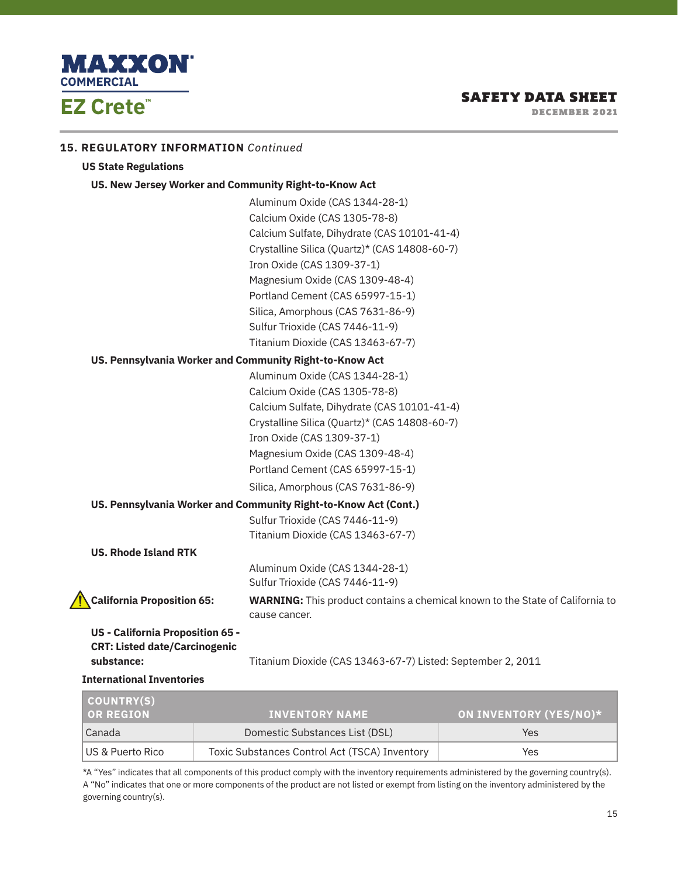

**15. REGULATORY INFORMATION** *Continued*

# SAFETY DATA SHEET

DECEMBER 2021

| <b>US State Regulations</b>                             |                                                                                                       |
|---------------------------------------------------------|-------------------------------------------------------------------------------------------------------|
| US. New Jersey Worker and Community Right-to-Know Act   |                                                                                                       |
|                                                         | Aluminum Oxide (CAS 1344-28-1)                                                                        |
|                                                         | Calcium Oxide (CAS 1305-78-8)                                                                         |
|                                                         | Calcium Sulfate, Dihydrate (CAS 10101-41-4)                                                           |
|                                                         | Crystalline Silica (Quartz)* (CAS 14808-60-7)                                                         |
|                                                         | Iron Oxide (CAS 1309-37-1)                                                                            |
|                                                         | Magnesium Oxide (CAS 1309-48-4)                                                                       |
|                                                         | Portland Cement (CAS 65997-15-1)                                                                      |
|                                                         | Silica, Amorphous (CAS 7631-86-9)                                                                     |
|                                                         | Sulfur Trioxide (CAS 7446-11-9)                                                                       |
|                                                         | Titanium Dioxide (CAS 13463-67-7)                                                                     |
| US. Pennsylvania Worker and Community Right-to-Know Act |                                                                                                       |
|                                                         | Aluminum Oxide (CAS 1344-28-1)                                                                        |
|                                                         | Calcium Oxide (CAS 1305-78-8)                                                                         |
|                                                         | Calcium Sulfate, Dihydrate (CAS 10101-41-4)                                                           |
|                                                         | Crystalline Silica (Quartz)* (CAS 14808-60-7)                                                         |
|                                                         | Iron Oxide (CAS 1309-37-1)                                                                            |
|                                                         | Magnesium Oxide (CAS 1309-48-4)                                                                       |
|                                                         | Portland Cement (CAS 65997-15-1)                                                                      |
|                                                         | Silica, Amorphous (CAS 7631-86-9)                                                                     |
|                                                         | US. Pennsylvania Worker and Community Right-to-Know Act (Cont.)                                       |
|                                                         | Sulfur Trioxide (CAS 7446-11-9)                                                                       |
|                                                         | Titanium Dioxide (CAS 13463-67-7)                                                                     |
| <b>US. Rhode Island RTK</b>                             |                                                                                                       |
|                                                         | Aluminum Oxide (CAS 1344-28-1)                                                                        |
|                                                         | Sulfur Trioxide (CAS 7446-11-9)                                                                       |
| <b>California Proposition 65:</b>                       | <b>WARNING:</b> This product contains a chemical known to the State of California to<br>cause cancer. |
| US - California Proposition 65 -                        |                                                                                                       |
| <b>CRT: Listed date/Carcinogenic</b>                    |                                                                                                       |
| substance:                                              | Titanium Dioxide (CAS 13463-67-7) Listed: September 2, 2011                                           |
| <b>International Inventories</b>                        |                                                                                                       |

| COUNTRY(S)<br><b>OR REGION</b> | <b>INVENTORY NAME</b>                         | ON INVENTORY (YES/NO)* |
|--------------------------------|-----------------------------------------------|------------------------|
| Canada                         | Domestic Substances List (DSL)                | Yes                    |
| l US & Puerto Rico             | Toxic Substances Control Act (TSCA) Inventory | Yes                    |

\*A "Yes" indicates that all components of this product comply with the inventory requirements administered by the governing country(s). A "No" indicates that one or more components of the product are not listed or exempt from listing on the inventory administered by the governing country(s).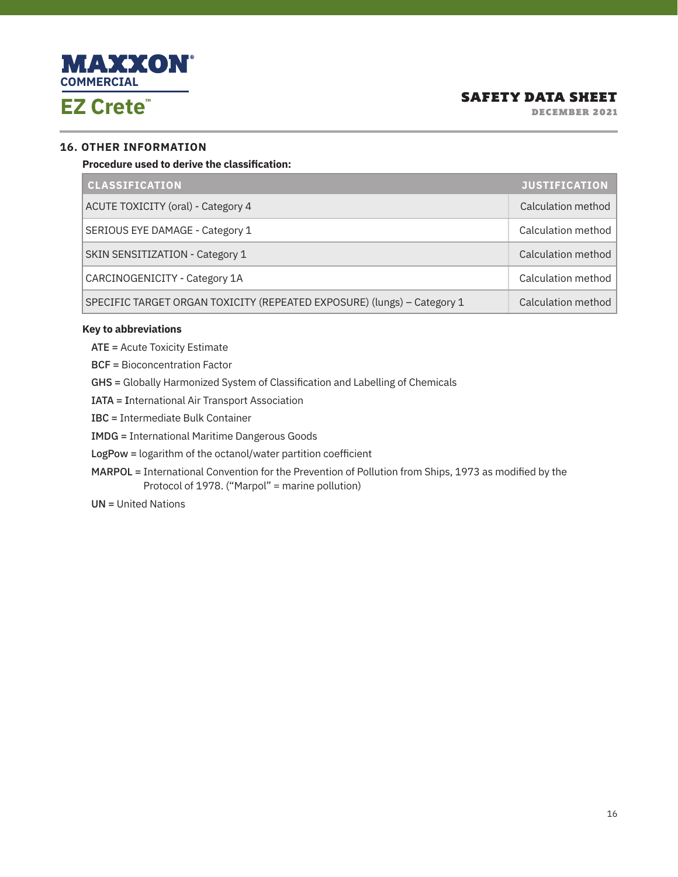

DECEMBER 2021

#### **16. OTHER INFORMATION**

**Procedure used to derive the classification:**

| <b>CLASSIFICATION</b>                                                   | <b>JUSTIFICATION</b> |
|-------------------------------------------------------------------------|----------------------|
| ACUTE TOXICITY (oral) - Category 4                                      | Calculation method   |
| SERIOUS EYE DAMAGE - Category 1                                         | Calculation method   |
| SKIN SENSITIZATION - Category 1                                         | Calculation method   |
| CARCINOGENICITY - Category 1A                                           | Calculation method   |
| SPECIFIC TARGET ORGAN TOXICITY (REPEATED EXPOSURE) (lungs) - Category 1 | Calculation method   |

#### **Key to abbreviations**

ATE = Acute Toxicity Estimate

BCF = Bioconcentration Factor

GHS = Globally Harmonized System of Classification and Labelling of Chemicals

IATA = International Air Transport Association

IBC = Intermediate Bulk Container

IMDG = International Maritime Dangerous Goods

LogPow = logarithm of the octanol/water partition coefficient

MARPOL = International Convention for the Prevention of Pollution from Ships, 1973 as modified by the Protocol of 1978. ("Marpol" = marine pollution)

UN = United Nations